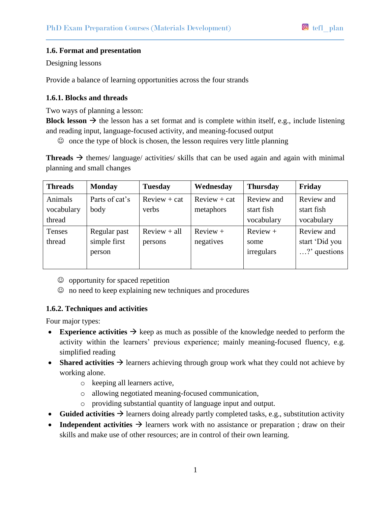# **1.6. Format and presentation**

Designing lessons

Provide a balance of learning opportunities across the four strands

#### **1.6.1. Blocks and threads**

Two ways of planning a lesson:

**Block** lesson  $\rightarrow$  the lesson has a set format and is complete within itself, e.g., include listening and reading input, language-focused activity, and meaning-focused output

 $\odot$  once the type of block is chosen, the lesson requires very little planning

**Threads**  $\rightarrow$  themes/ language/ activities/ skills that can be used again and again with minimal planning and small changes

| <b>Threads</b>                  | <b>Monday</b>                          | <b>Tuesday</b>            | Wednesday                   | <b>Thursday</b>                        | Friday                                       |
|---------------------------------|----------------------------------------|---------------------------|-----------------------------|----------------------------------------|----------------------------------------------|
| Animals<br>vocabulary<br>thread | Parts of cat's<br>body                 | $Review + cat$<br>verbs   | $Review + cat$<br>metaphors | Review and<br>start fish<br>vocabulary | Review and<br>start fish<br>vocabulary       |
| Tenses<br>thread                | Regular past<br>simple first<br>person | $Review + all$<br>persons | $Review +$<br>negatives     | $Review +$<br>some<br>irregulars       | Review and<br>start 'Did you<br>?' questions |

- $\odot$  opportunity for spaced repetition
- no need to keep explaining new techniques and procedures

# **1.6.2. Techniques and activities**

Four major types:

- **Experience activities**  $\rightarrow$  keep as much as possible of the knowledge needed to perform the activity within the learners' previous experience; mainly meaning-focused fluency, e.g. simplified reading
- **Shared activities**  $\rightarrow$  learners achieving through group work what they could not achieve by working alone.
	- o keeping all learners active,
	- o allowing negotiated meaning-focused communication,
	- o providing substantial quantity of language input and output.
- Guided activities  $\rightarrow$  learners doing already partly completed tasks, e.g., substitution activity
- Independent activities  $\rightarrow$  learners work with no assistance or preparation; draw on their skills and make use of other resources; are in control of their own learning.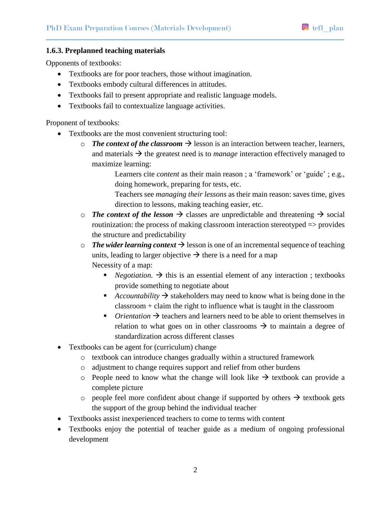# **1.6.3. Preplanned teaching materials**

Opponents of textbooks:

- Textbooks are for poor teachers, those without imagination.
- Textbooks embody cultural differences in attitudes.
- Textbooks fail to present appropriate and realistic language models.
- Textbooks fail to contextualize language activities.

Proponent of textbooks:

- Textbooks are the most convenient structuring tool:
	- o *The context of the classroom*  $\rightarrow$  lesson is an interaction between teacher, learners, and materials  $\rightarrow$  the greatest need is to *manage* interaction effectively managed to maximize learning:

Learners cite *content* as their main reason ; a 'framework' or 'guide' ; e.g., doing homework, preparing for tests, etc.

Teachers see *managing their lessons* as their main reason: saves time, gives direction to lessons, making teaching easier, etc.

- $\circ$  *The context of the lesson*  $\rightarrow$  classes are unpredictable and threatening  $\rightarrow$  social routinization: the process of making classroom interaction stereotyped => provides the structure and predictability
- $\circ$  *The wider learning context*  $\rightarrow$  lesson is one of an incremental sequence of teaching units, leading to larger objective  $\rightarrow$  there is a need for a map Necessity of a map:
	- *Negotiation.*  $\rightarrow$  this is an essential element of any interaction; textbooks provide something to negotiate about
	- *Accountability*  $\rightarrow$  stakeholders may need to know what is being done in the classroom + claim the right to influence what is taught in the classroom
	- *Orientation*  $\rightarrow$  teachers and learners need to be able to orient themselves in relation to what goes on in other classrooms  $\rightarrow$  to maintain a degree of standardization across different classes
- Textbooks can be agent for (curriculum) change
	- o textbook can introduce changes gradually within a structured framework
	- o adjustment to change requires support and relief from other burdens
	- o People need to know what the change will look like  $\rightarrow$  textbook can provide a complete picture
	- o people feel more confident about change if supported by others  $\rightarrow$  textbook gets the support of the group behind the individual teacher
- Textbooks assist inexperienced teachers to come to terms with content
- Textbooks enjoy the potential of teacher guide as a medium of ongoing professional development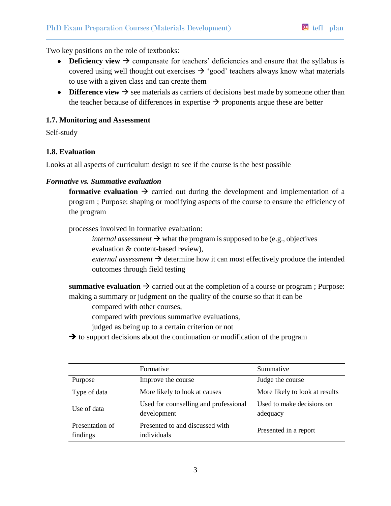Two key positions on the role of textbooks:

- **Deficiency view**  $\rightarrow$  compensate for teachers' deficiencies and ensure that the syllabus is covered using well thought out exercises  $\rightarrow$  'good' teachers always know what materials to use with a given class and can create them
- **Difference view**  $\rightarrow$  see materials as carriers of decisions best made by someone other than the teacher because of differences in expertise  $\rightarrow$  proponents argue these are better

#### **1.7. Monitoring and Assessment**

Self-study

#### **1.8. Evaluation**

Looks at all aspects of curriculum design to see if the course is the best possible

#### *Formative vs. Summative evaluation*

**formative evaluation**  $\rightarrow$  carried out during the development and implementation of a program ; Purpose: shaping or modifying aspects of the course to ensure the efficiency of the program

processes involved in formative evaluation:

*internal assessment*  $\rightarrow$  what the program is supposed to be (e.g., objectives evaluation & content-based review),

 $external assessment \rightarrow determine how it can most effectively produce the intended$ outcomes through field testing

**summative evaluation**  $\rightarrow$  carried out at the completion of a course or program ; Purpose: making a summary or judgment on the quality of the course so that it can be

compared with other courses,

compared with previous summative evaluations,

judged as being up to a certain criterion or not

 $\rightarrow$  to support decisions about the continuation or modification of the program

|                             | Formative                                            | Summative                             |
|-----------------------------|------------------------------------------------------|---------------------------------------|
| Purpose                     | Improve the course                                   | Judge the course                      |
| Type of data                | More likely to look at causes                        | More likely to look at results        |
| Use of data                 | Used for counselling and professional<br>development | Used to make decisions on<br>adequacy |
| Presentation of<br>findings | Presented to and discussed with<br>individuals       | Presented in a report                 |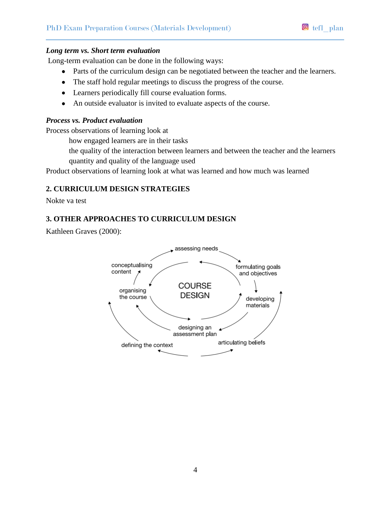#### *Long term vs. Short term evaluation*

Long-term evaluation can be done in the following ways:

- Parts of the curriculum design can be negotiated between the teacher and the learners.
- The staff hold regular meetings to discuss the progress of the course.
- Learners periodically fill course evaluation forms.
- An outside evaluator is invited to evaluate aspects of the course.

#### *Process vs. Product evaluation*

Process observations of learning look at

how engaged learners are in their tasks

the quality of the interaction between learners and between the teacher and the learners quantity and quality of the language used

Product observations of learning look at what was learned and how much was learned

# **2. CURRICULUM DESIGN STRATEGIES**

Nokte va test

# **3. OTHER APPROACHES TO CURRICULUM DESIGN**

Kathleen Graves (2000):

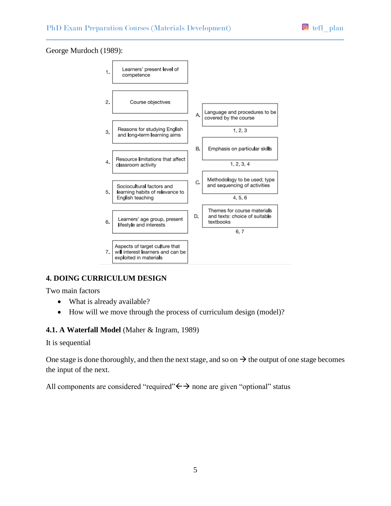# George Murdoch (1989):



# **4. DOING CURRICULUM DESIGN**

Two main factors

- What is already available?
- How will we move through the process of curriculum design (model)?

# **4.1. A Waterfall Model** (Maher & Ingram, 1989)

It is sequential

One stage is done thoroughly, and then the next stage, and so on  $\rightarrow$  the output of one stage becomes the input of the next.

All components are considered "required" $\leftrightarrow$  none are given "optional" status